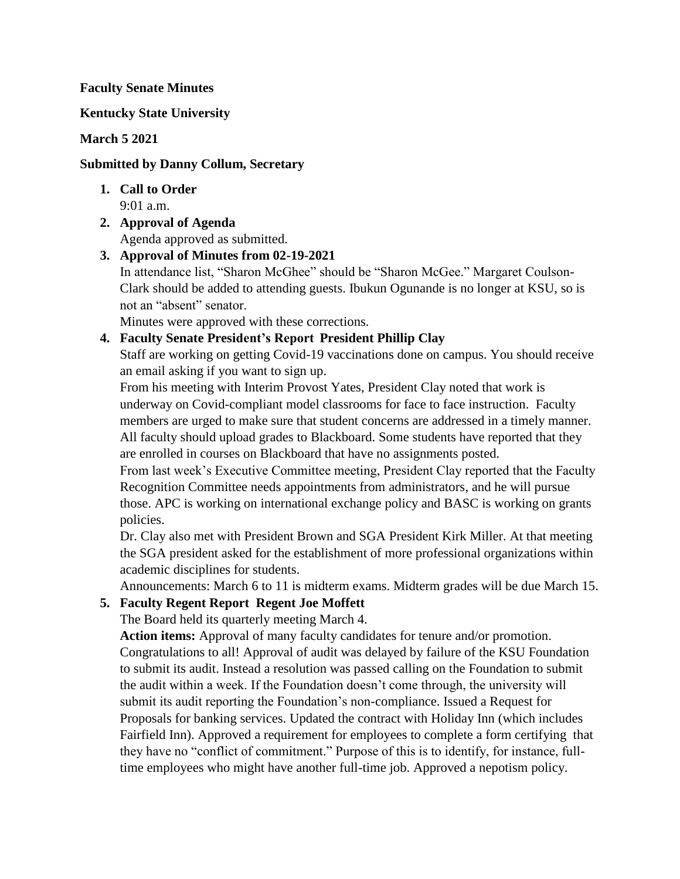### **Faculty Senate Minutes**

## **Kentucky State University**

## **March 5 2021**

## **Submitted by Danny Collum, Secretary**

- **1. Call to Order** 9:01 a.m.
- **2. Approval of Agenda** Agenda approved as submitted.

**3. Approval of Minutes from 02-19-2021**

In attendance list, "Sharon McGhee" should be "Sharon McGee." Margaret Coulson-Clark should be added to attending guests. Ibukun Ogunande is no longer at KSU, so is not an "absent" senator.

Minutes were approved with these corrections.

## **4. Faculty Senate President's Report President Phillip Clay**

Staff are working on getting Covid-19 vaccinations done on campus. You should receive an email asking if you want to sign up.

From his meeting with Interim Provost Yates, President Clay noted that work is underway on Covid-compliant model classrooms for face to face instruction. Faculty members are urged to make sure that student concerns are addressed in a timely manner. All faculty should upload grades to Blackboard. Some students have reported that they are enrolled in courses on Blackboard that have no assignments posted.

From last week's Executive Committee meeting, President Clay reported that the Faculty Recognition Committee needs appointments from administrators, and he will pursue those. APC is working on international exchange policy and BASC is working on grants policies.

Dr. Clay also met with President Brown and SGA President Kirk Miller. At that meeting the SGA president asked for the establishment of more professional organizations within academic disciplines for students.

Announcements: March 6 to 11 is midterm exams. Midterm grades will be due March 15.

# **5. Faculty Regent Report Regent Joe Moffett**

The Board held its quarterly meeting March 4.

**Action items:** Approval of many faculty candidates for tenure and/or promotion. Congratulations to all! Approval of audit was delayed by failure of the KSU Foundation to submit its audit. Instead a resolution was passed calling on the Foundation to submit the audit within a week. If the Foundation doesn't come through, the university will submit its audit reporting the Foundation's non-compliance. Issued a Request for Proposals for banking services. Updated the contract with Holiday Inn (which includes Fairfield Inn). Approved a requirement for employees to complete a form certifying that they have no "conflict of commitment." Purpose of this is to identify, for instance, fulltime employees who might have another full-time job. Approved a nepotism policy.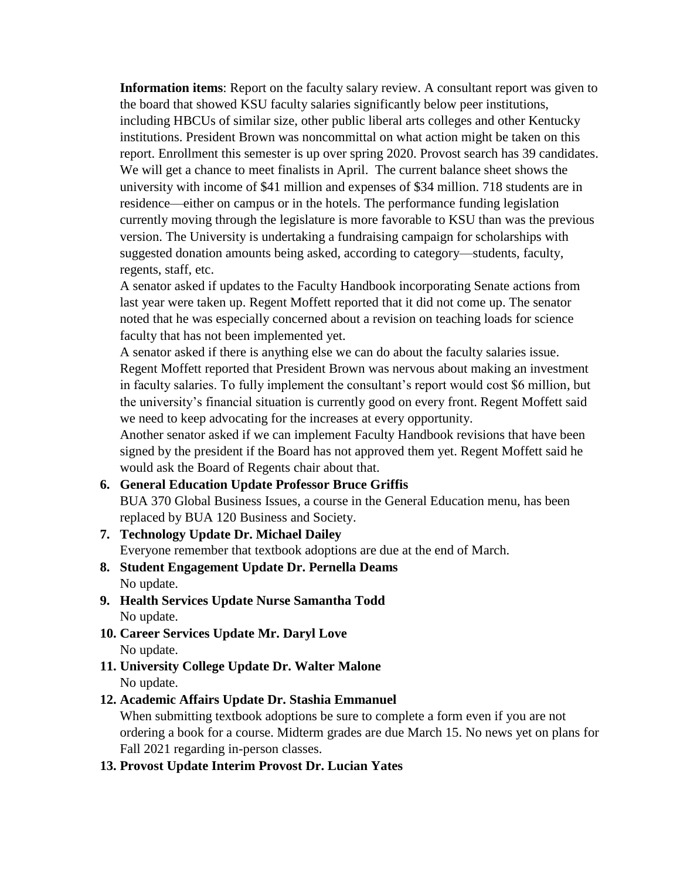**Information items**: Report on the faculty salary review. A consultant report was given to the board that showed KSU faculty salaries significantly below peer institutions, including HBCUs of similar size, other public liberal arts colleges and other Kentucky institutions. President Brown was noncommittal on what action might be taken on this report. Enrollment this semester is up over spring 2020. Provost search has 39 candidates. We will get a chance to meet finalists in April. The current balance sheet shows the university with income of \$41 million and expenses of \$34 million. 718 students are in residence—either on campus or in the hotels. The performance funding legislation currently moving through the legislature is more favorable to KSU than was the previous version. The University is undertaking a fundraising campaign for scholarships with suggested donation amounts being asked, according to category—students, faculty, regents, staff, etc.

A senator asked if updates to the Faculty Handbook incorporating Senate actions from last year were taken up. Regent Moffett reported that it did not come up. The senator noted that he was especially concerned about a revision on teaching loads for science faculty that has not been implemented yet.

A senator asked if there is anything else we can do about the faculty salaries issue. Regent Moffett reported that President Brown was nervous about making an investment in faculty salaries. To fully implement the consultant's report would cost \$6 million, but the university's financial situation is currently good on every front. Regent Moffett said we need to keep advocating for the increases at every opportunity.

Another senator asked if we can implement Faculty Handbook revisions that have been signed by the president if the Board has not approved them yet. Regent Moffett said he would ask the Board of Regents chair about that.

**6. General Education Update Professor Bruce Griffis** BUA 370 Global Business Issues, a course in the General Education menu, has been

replaced by BUA 120 Business and Society.

- **7. Technology Update Dr. Michael Dailey** Everyone remember that textbook adoptions are due at the end of March.
- **8. Student Engagement Update Dr. Pernella Deams** No update.
- **9. Health Services Update Nurse Samantha Todd** No update.
- **10. Career Services Update Mr. Daryl Love** No update.
- **11. University College Update Dr. Walter Malone** No update.
- **12. Academic Affairs Update Dr. Stashia Emmanuel**

When submitting textbook adoptions be sure to complete a form even if you are not ordering a book for a course. Midterm grades are due March 15. No news yet on plans for Fall 2021 regarding in-person classes.

# **13. Provost Update Interim Provost Dr. Lucian Yates**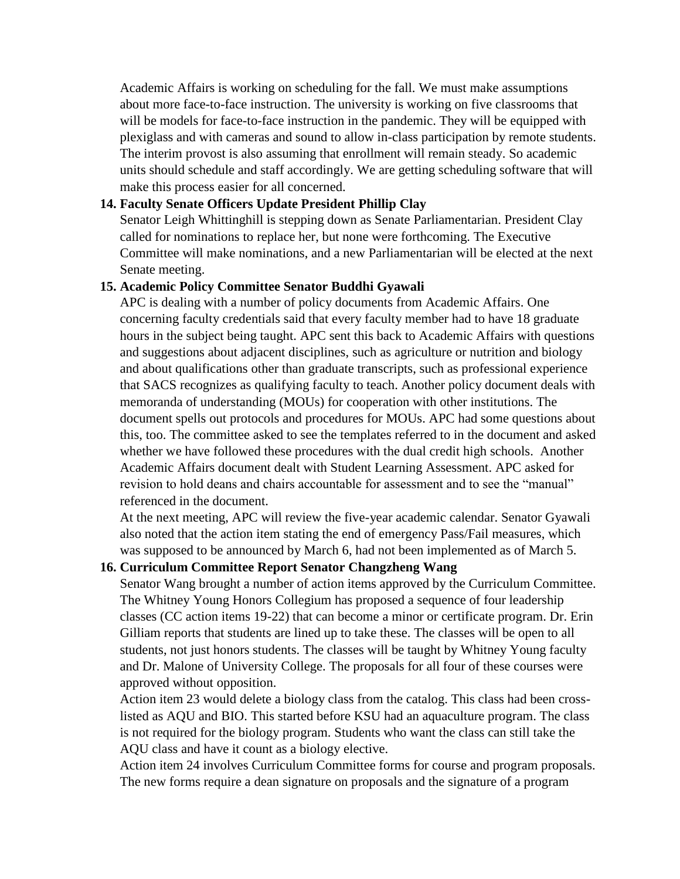Academic Affairs is working on scheduling for the fall. We must make assumptions about more face-to-face instruction. The university is working on five classrooms that will be models for face-to-face instruction in the pandemic. They will be equipped with plexiglass and with cameras and sound to allow in-class participation by remote students. The interim provost is also assuming that enrollment will remain steady. So academic units should schedule and staff accordingly. We are getting scheduling software that will make this process easier for all concerned.

## **14. Faculty Senate Officers Update President Phillip Clay**

Senator Leigh Whittinghill is stepping down as Senate Parliamentarian. President Clay called for nominations to replace her, but none were forthcoming. The Executive Committee will make nominations, and a new Parliamentarian will be elected at the next Senate meeting.

#### **15. Academic Policy Committee Senator Buddhi Gyawali**

APC is dealing with a number of policy documents from Academic Affairs. One concerning faculty credentials said that every faculty member had to have 18 graduate hours in the subject being taught. APC sent this back to Academic Affairs with questions and suggestions about adjacent disciplines, such as agriculture or nutrition and biology and about qualifications other than graduate transcripts, such as professional experience that SACS recognizes as qualifying faculty to teach. Another policy document deals with memoranda of understanding (MOUs) for cooperation with other institutions. The document spells out protocols and procedures for MOUs. APC had some questions about this, too. The committee asked to see the templates referred to in the document and asked whether we have followed these procedures with the dual credit high schools. Another Academic Affairs document dealt with Student Learning Assessment. APC asked for revision to hold deans and chairs accountable for assessment and to see the "manual" referenced in the document.

At the next meeting, APC will review the five-year academic calendar. Senator Gyawali also noted that the action item stating the end of emergency Pass/Fail measures, which was supposed to be announced by March 6, had not been implemented as of March 5.

#### **16. Curriculum Committee Report Senator Changzheng Wang**

Senator Wang brought a number of action items approved by the Curriculum Committee. The Whitney Young Honors Collegium has proposed a sequence of four leadership classes (CC action items 19-22) that can become a minor or certificate program. Dr. Erin Gilliam reports that students are lined up to take these. The classes will be open to all students, not just honors students. The classes will be taught by Whitney Young faculty and Dr. Malone of University College. The proposals for all four of these courses were approved without opposition.

Action item 23 would delete a biology class from the catalog. This class had been crosslisted as AQU and BIO. This started before KSU had an aquaculture program. The class is not required for the biology program. Students who want the class can still take the AQU class and have it count as a biology elective.

Action item 24 involves Curriculum Committee forms for course and program proposals. The new forms require a dean signature on proposals and the signature of a program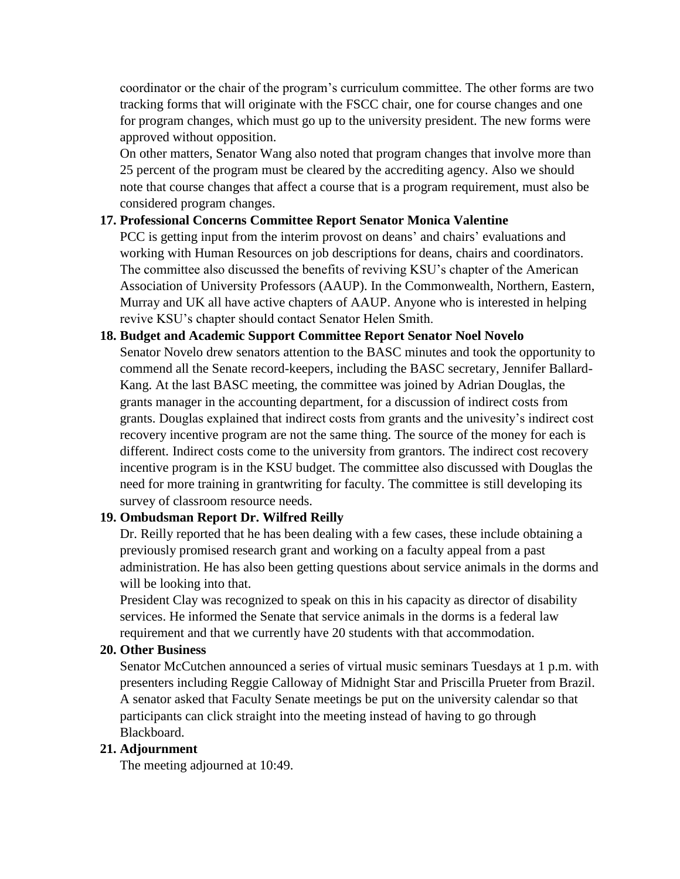coordinator or the chair of the program's curriculum committee. The other forms are two tracking forms that will originate with the FSCC chair, one for course changes and one for program changes, which must go up to the university president. The new forms were approved without opposition.

On other matters, Senator Wang also noted that program changes that involve more than 25 percent of the program must be cleared by the accrediting agency. Also we should note that course changes that affect a course that is a program requirement, must also be considered program changes.

## **17. Professional Concerns Committee Report Senator Monica Valentine**

PCC is getting input from the interim provost on deans' and chairs' evaluations and working with Human Resources on job descriptions for deans, chairs and coordinators. The committee also discussed the benefits of reviving KSU's chapter of the American Association of University Professors (AAUP). In the Commonwealth, Northern, Eastern, Murray and UK all have active chapters of AAUP. Anyone who is interested in helping revive KSU's chapter should contact Senator Helen Smith.

# **18. Budget and Academic Support Committee Report Senator Noel Novelo** Senator Novelo drew senators attention to the BASC minutes and took the opportunity to commend all the Senate record-keepers, including the BASC secretary, Jennifer Ballard-Kang. At the last BASC meeting, the committee was joined by Adrian Douglas, the grants manager in the accounting department, for a discussion of indirect costs from grants. Douglas explained that indirect costs from grants and the univesity's indirect cost recovery incentive program are not the same thing. The source of the money for each is different. Indirect costs come to the university from grantors. The indirect cost recovery incentive program is in the KSU budget. The committee also discussed with Douglas the need for more training in grantwriting for faculty. The committee is still developing its survey of classroom resource needs.

# **19. Ombudsman Report Dr. Wilfred Reilly**

Dr. Reilly reported that he has been dealing with a few cases, these include obtaining a previously promised research grant and working on a faculty appeal from a past administration. He has also been getting questions about service animals in the dorms and will be looking into that.

President Clay was recognized to speak on this in his capacity as director of disability services. He informed the Senate that service animals in the dorms is a federal law requirement and that we currently have 20 students with that accommodation.

# **20. Other Business**

Senator McCutchen announced a series of virtual music seminars Tuesdays at 1 p.m. with presenters including Reggie Calloway of Midnight Star and Priscilla Prueter from Brazil. A senator asked that Faculty Senate meetings be put on the university calendar so that participants can click straight into the meeting instead of having to go through Blackboard.

# **21. Adjournment**

The meeting adjourned at 10:49.